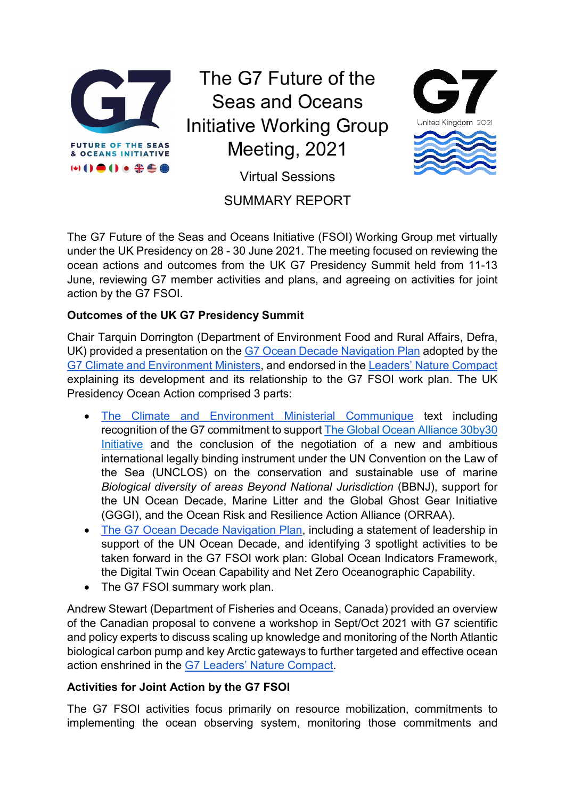

The G7 Future of the Seas and Oceans Initiative Working Group Meeting, 2021



Virtual Sessions

## SUMMARY REPORT

The G7 Future of the Seas and Oceans Initiative (FSOI) Working Group met virtually under the UK Presidency on 28 - 30 June 2021. The meeting focused on reviewing the ocean actions and outcomes from the UK G7 Presidency Summit held from 11-13 June, reviewing G7 member activities and plans, and agreeing on activities for joint action by the G7 FSOI.

## **Outcomes of the UK G7 Presidency Summit**

Chair Tarquin Dorrington (Department of Environment Food and Rural Affairs, Defra, UK) provided a presentation on the [G7 Ocean Decade Navigation Plan](https://www.gov.uk/government/publications/g7-climate-and-environment-ministers-meeting-may-2021-communique/g7-ocean-decade-navigation-plan) adopted by the [G7 Climate and Environment Ministers,](https://www.g7uk.org/g7-climate-and-environment-ministers-communique/) and endorsed in the [Leaders' Nature Compact](https://www.g7uk.org/wp-content/uploads/2021/06/G7-2030-Nature-Compact-PDF-120KB-4-pages-2.pdf) explaining its development and its relationship to the G7 FSOI work plan. The UK Presidency Ocean Action comprised 3 parts:

- [The Climate and Environment Ministerial Communique](https://www.g7uk.org/g7-climate-and-environment-ministers-communique/) text including recognition of the G7 commitment to support [The Global Ocean Alliance 30by30](https://www.gov.uk/government/topical-events/global-ocean-alliance-30by30-initiative/about) [Initiative](https://www.gov.uk/government/topical-events/global-ocean-alliance-30by30-initiative/about) and the conclusion of the negotiation of a new and ambitious international legally binding instrument under the UN Convention on the Law of the Sea (UNCLOS) on the conservation and sustainable use of marine *Biological diversity of areas Beyond National Jurisdiction* (BBNJ), support for the UN Ocean Decade, Marine Litter and the Global Ghost Gear Initiative (GGGI), and the Ocean Risk and Resilience Action Alliance (ORRAA).
- [The G7 Ocean Decade Navigation Plan,](https://www.gov.uk/government/publications/g7-climate-and-environment-ministers-meeting-may-2021-communique/g7-ocean-decade-navigation-plan) including a statement of leadership in support of the UN Ocean Decade, and identifying 3 spotlight activities to be taken forward in the G7 FSOI work plan: Global Ocean Indicators Framework, the Digital Twin Ocean Capability and Net Zero Oceanographic Capability.
- The G7 FSOI summary work plan.

Andrew Stewart (Department of Fisheries and Oceans, Canada) provided an overview of the Canadian proposal to convene a workshop in Sept/Oct 2021 with G7 scientific and policy experts to discuss scaling up knowledge and monitoring of the North Atlantic biological carbon pump and key Arctic gateways to further targeted and effective ocean action enshrined in the [G7 Leaders' Nature Compact.](https://www.g7uk.org/wp-content/uploads/2021/06/G7-2030-Nature-Compact-PDF-120KB-4-pages-2.pdf)

## **Activities for Joint Action by the G7 FSOI**

The G7 FSOI activities focus primarily on resource mobilization, commitments to implementing the ocean observing system, monitoring those commitments and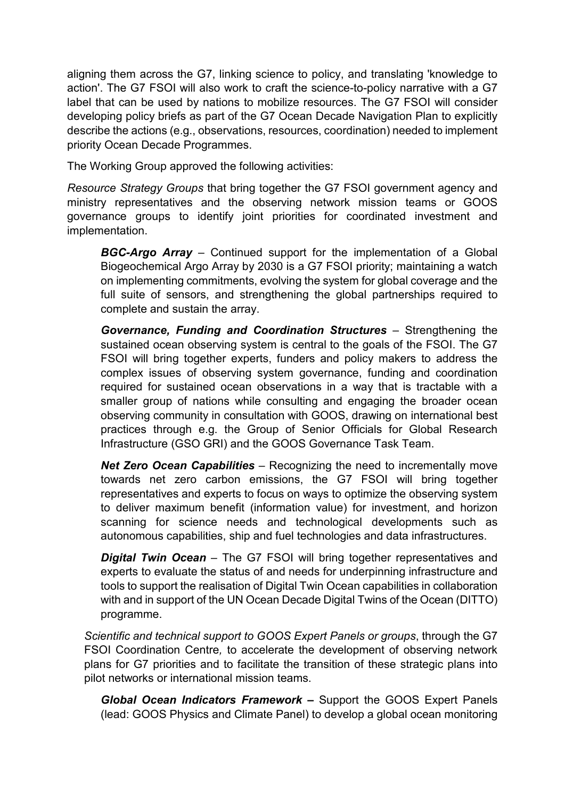aligning them across the G7, linking science to policy, and translating 'knowledge to action'. The G7 FSOI will also work to craft the science-to-policy narrative with a G7 label that can be used by nations to mobilize resources. The G7 FSOI will consider developing policy briefs as part of the G7 Ocean Decade Navigation Plan to explicitly describe the actions (e.g., observations, resources, coordination) needed to implement priority Ocean Decade Programmes.

The Working Group approved the following activities:

*Resource Strategy Groups* that bring together the G7 FSOI government agency and ministry representatives and the observing network mission teams or GOOS governance groups to identify joint priorities for coordinated investment and implementation.

*BGC-Argo Array* – Continued support for the implementation of a Global Biogeochemical Argo Array by 2030 is a G7 FSOI priority; maintaining a watch on implementing commitments, evolving the system for global coverage and the full suite of sensors, and strengthening the global partnerships required to complete and sustain the array.

*Governance, Funding and Coordination Structures* – Strengthening the sustained ocean observing system is central to the goals of the FSOI. The G7 FSOI will bring together experts, funders and policy makers to address the complex issues of observing system governance, funding and coordination required for sustained ocean observations in a way that is tractable with a smaller group of nations while consulting and engaging the broader ocean observing community in consultation with GOOS, drawing on international best practices through e.g. the Group of Senior Officials for Global Research Infrastructure (GSO GRI) and the GOOS Governance Task Team.

*Net Zero Ocean Capabilities* – Recognizing the need to incrementally move towards net zero carbon emissions, the G7 FSOI will bring together representatives and experts to focus on ways to optimize the observing system to deliver maximum benefit (information value) for investment, and horizon scanning for science needs and technological developments such as autonomous capabilities, ship and fuel technologies and data infrastructures.

**Digital Twin Ocean** – The G7 FSOI will bring together representatives and experts to evaluate the status of and needs for underpinning infrastructure and tools to support the realisation of Digital Twin Ocean capabilities in collaboration with and in support of the UN Ocean Decade Digital Twins of the Ocean (DITTO) programme.

*Scientific and technical support to GOOS Expert Panels or groups*, through the G7 FSOI Coordination Centre*,* to accelerate the development of observing network plans for G7 priorities and to facilitate the transition of these strategic plans into pilot networks or international mission teams.

*Global Ocean Indicators Framework* **–** Support the GOOS Expert Panels (lead: GOOS Physics and Climate Panel) to develop a global ocean monitoring